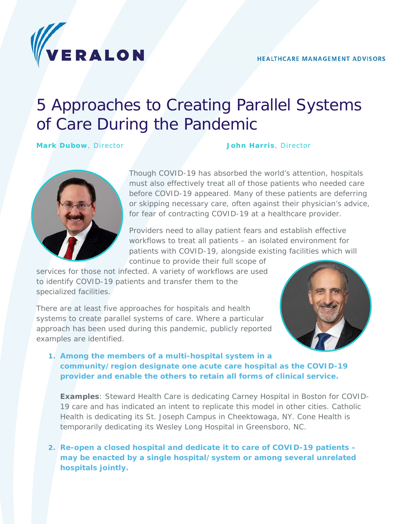

# 5 Approaches to Creating Parallel Systems of Care During the Pandemic

**Mark Dubow**, Director **John Harris**, Director



Though COVID-19 has absorbed the world's attention, hospitals must also effectively treat all of those patients who needed care before COVID-19 appeared. Many of these patients are deferring or skipping necessary care, often against their physician's advice, for fear of contracting COVID-19 at a healthcare provider.

Providers need to allay patient fears and establish effective workflows to treat all patients – an isolated environment for patients with COVID-19, alongside existing facilities which will continue to provide their full scope of

services for those not infected. A variety of workflows are used to identify COVID-19 patients and transfer them to the specialized facilities.

There are at least five approaches for hospitals and health systems to create parallel systems of care. Where a particular approach has been used during this pandemic, publicly reported examples are identified.



### **1. Among the members of a multi-hospital system in a community/region designate one acute care hospital as the COVID-19 provider and enable the others to retain all forms of clinical service.**

**Examples**: Steward Health Care is dedicating Carney Hospital in Boston for COVID-19 care and has indicated an intent to replicate this model in other cities. Catholic Health is dedicating its St. Joseph Campus in Cheektowaga, NY. Cone Health is temporarily dedicating its Wesley Long Hospital in Greensboro, NC.

# **2. Re-open a closed hospital and dedicate it to care of COVID-19 patients – may be enacted by a single hospital/system or among several unrelated hospitals jointly.**